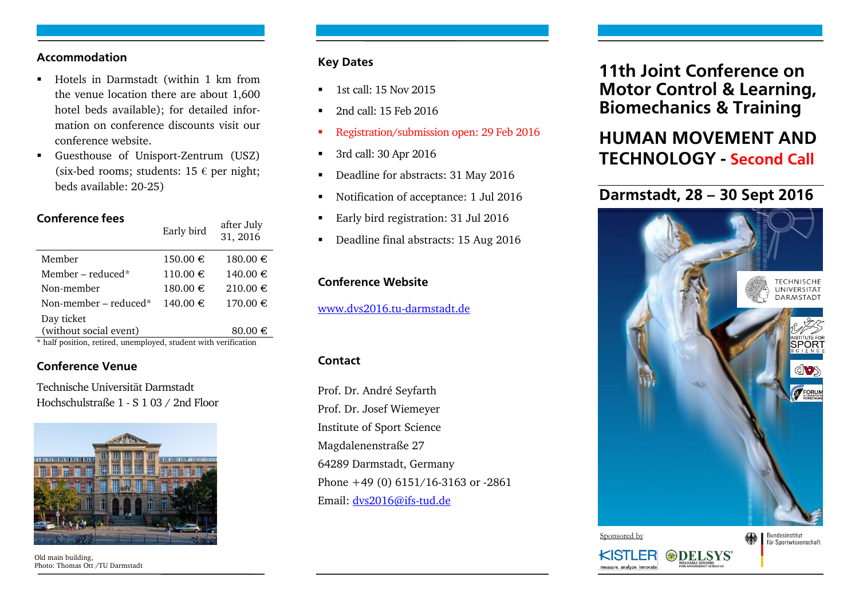### **Accommodation**

- Hotels in Darmstadt (within 1 km from the venue location there are about 1,600 hotel beds available); for detailed information on conference discounts visit our conference website.
- Guesthouse of Unisport-Zentrum (USZ) (six-bed rooms; students:  $15 \in per$  night; beds available: 20-25)

### **Conference fees**

|                                                              | Early bird   | $rac{1}{2}$<br>31, 2016 |
|--------------------------------------------------------------|--------------|-------------------------|
| Member                                                       | $150.00 \in$ | $180.00 \in$            |
| Member – reduced*                                            | 110.00€      | 140.00 €                |
| Non-member                                                   | $180.00 \in$ | 210.00€                 |
| Non-member – reduced*                                        | $140.00 \in$ | 170.00 €                |
| Day ticket                                                   |              |                         |
| (without social event)                                       |              | $80.00 \in$             |
| * half position retired unemployed student with verification |              |                         |

ofter July

**\*** half position, retired, unemployed, student with verification

### **Conference Venue**

Technische Universität Darmstadt Hochschulstraße 1 - S 1 03 / 2nd Floor



Old main building, Photo: Thomas Ott /TU Darmstadt

#### **Key Dates**

- 1st call: 15 Nov 2015
- 2nd call: 15 Feb 2016
- Registration/submission open: 29 Feb 2016
- 3rd call: 30 Apr 2016
- Deadline for abstracts: 31 May 2016
- Notification of acceptance: 1 Jul 2016
- **Early bird registration: 31 Jul 2016**
- Deadline final abstracts: 15 Aug 2016

# **Conference Website**

[www.dvs2016.tu-darmstadt.de](http://www.dvs2016.tu-darmstadt.de/)

### **Contact**

Prof. Dr. André Seyfarth Prof. Dr. Josef Wiemeyer Institute of Sport Science Magdalenenstraße 27 64289 Darmstadt, Germany Phone +49 (0) 6151/16-3163 or -2861 Email: [dvs2016@ifs-tud.de](mailto:dvs2016@ifs-tud.de)

# **11th Joint Conference on Motor Control & Learning, Biomechanics & Training**

# **HUMAN MOVEMENT AND TECHNOLOGY - Second Call**

# **Darmstadt, 28 – 30 Sept 2016**



**DELSYS** 

KISTLEF

easure. analyze. innovate